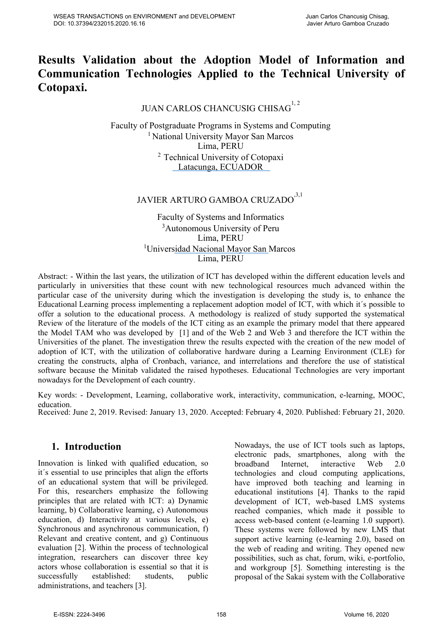## **Results Validation about the Adoption Model of Information and Communication Technologies Applied to the Technical University of Cotopaxi.**

## JUAN CARLOS CHANCUSIG CHISAG<sup>1, 2</sup>

Faculty of Postgraduate Programs in Systems and Computing <sup>1</sup> National University Mayor San Marcos Lima, PERU <sup>2</sup> Technical University of Cotopaxi Latacunga, ECUADOR

# JAVIER ARTURO GAMBOA CRUZADO $^{3,1}$

Faculty of Systems and Informatics 3 Autonomous University of Peru Lima, PERU <sup>1</sup>Universidad Nacional Mayor San Marcos Lima, PERU

Abstract: - Within the last years, the utilization of ICT has developed within the different education levels and particularly in universities that these count with new technological resources much advanced within the particular case of the university during which the investigation is developing the study is, to enhance the Educational Learning process implementing a replacement adoption model of ICT, with which it´s possible to offer a solution to the educational process. A methodology is realized of study supported the systematical Review of the literature of the models of the ICT citing as an example the primary model that there appeared the Model TAM who was developed by [1] and of the Web 2 and Web 3 and therefore the ICT within the Universities of the planet. The investigation threw the results expected with the creation of the new model of adoption of ICT, with the utilization of collaborative hardware during a Learning Environment (CLE) for creating the constructs, alpha of Cronbach, variance, and interrelations and therefore the use of statistical software because the Minitab validated the raised hypotheses. Educational Technologies are very important nowadays for the Development of each country.

Key words: - Development, Learning, collaborative work, interactivity, communication, e-learning, MOOC, education. Received: June 2, 2019. Revised: January 13, 2020. Accepted: February 4, 2020. Published: February 21, 2020.

## **1. Introduction**

Innovation is linked with qualified education, so it´s essential to use principles that align the efforts of an educational system that will be privileged. For this, researchers emphasize the following principles that are related with ICT: a) Dynamic learning, b) Collaborative learning, c) Autonomous education, d) Interactivity at various levels, e) Synchronous and asynchronous communication, f) Relevant and creative content, and g) Continuous evaluation [2]. Within the process of technological integration, researchers can discover three key actors whose collaboration is essential so that it is successfully established: students, public administrations, and teachers [3].

Nowadays, the use of ICT tools such as laptops, electronic pads, smartphones, along with the broadband Internet, interactive Web 2.0 technologies and cloud computing applications, have improved both teaching and learning in educational institutions [4]. Thanks to the rapid development of ICT, web-based LMS systems reached companies, which made it possible to access web-based content (e-learning 1.0 support). These systems were followed by new LMS that support active learning (e-learning 2.0), based on the web of reading and writing. They opened new possibilities, such as chat, forum, wiki, e-portfolio, and workgroup [5]. Something interesting is the proposal of the Sakai system with the Collaborative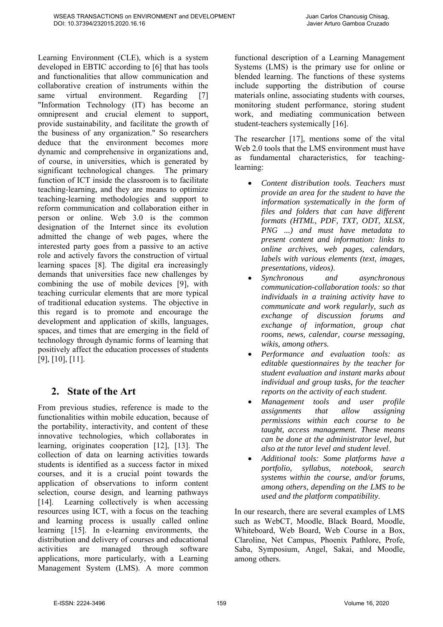Learning Environment (CLE), which is a system developed in EBTIC according to [6] that has tools and functionalities that allow communication and collaborative creation of instruments within the same virtual environment. Regarding [7] "Information Technology (IT) has become an omnipresent and crucial element to support, provide sustainability, and facilitate the growth of the business of any organization." So researchers deduce that the environment becomes more dynamic and comprehensive in organizations and, of course, in universities, which is generated by significant technological changes. The primary function of ICT inside the classroom is to facilitate teaching-learning, and they are means to optimize teaching-learning methodologies and support to reform communication and collaboration either in person or online. Web 3.0 is the common designation of the Internet since its evolution admitted the change of web pages, where the interested party goes from a passive to an active role and actively favors the construction of virtual learning spaces [8]. The digital era increasingly demands that universities face new challenges by combining the use of mobile devices [9], with teaching curricular elements that are more typical of traditional education systems. The objective in this regard is to promote and encourage the development and application of skills, languages, spaces, and times that are emerging in the field of technology through dynamic forms of learning that positively affect the education processes of students [9], [10], [11].

## **2. State of the Art**

From previous studies, reference is made to the functionalities within mobile education, because of the portability, interactivity, and content of these innovative technologies, which collaborates in learning, originates cooperation [12], [13]. The collection of data on learning activities towards students is identified as a success factor in mixed courses, and it is a crucial point towards the application of observations to inform content selection, course design, and learning pathways [14]. Learning collectively is when accessing resources using ICT, with a focus on the teaching and learning process is usually called online learning [15]. In e-learning environments, the distribution and delivery of courses and educational activities are managed through software applications, more particularly, with a Learning Management System (LMS). A more common

functional description of a Learning Management Systems (LMS) is the primary use for online or blended learning. The functions of these systems include supporting the distribution of course materials online, associating students with courses, monitoring student performance, storing student work, and mediating communication between student-teachers systemically [16].

The researcher [17], mentions some of the vital Web 2.0 tools that the LMS environment must have as fundamental characteristics, for teachinglearning:

- *Content distribution tools. Teachers must provide an area for the student to have the information systematically in the form of files and folders that can have different formats (HTML, PDF, TXT, ODT, XLSX, PNG ...) and must have metadata to present content and information: links to online archives, web pages, calendars, labels with various elements (text, images, presentations, videos)*.
- *Synchronous and asynchronous communication-collaboration tools: so that individuals in a training activity have to communicate and work regularly, such as exchange of discussion forums and exchange of information, group chat rooms, news, calendar, course messaging, wikis, among others.*
- *Performance and evaluation tools: as editable questionnaires by the teacher for student evaluation and instant marks about individual and group tasks, for the teacher reports on the activity of each student*.
- *Management tools and user profile assignments that allow assigning permissions within each course to be taught, access management. These means can be done at the administrator level, but also at the tutor level and student level*.
- *Additional tools: Some platforms have a portfolio, syllabus, notebook, search systems within the course, and/or forums, among others, depending on the LMS to be used and the platform compatibility*.

In our research, there are several examples of LMS such as WebCT, Moodle, Black Board, Moodle, Whiteboard, Web Board, Web Course in a Box, Claroline, Net Campus, Phoenix Pathlore, Profe, Saba, Symposium, Angel, Sakai, and Moodle, among others.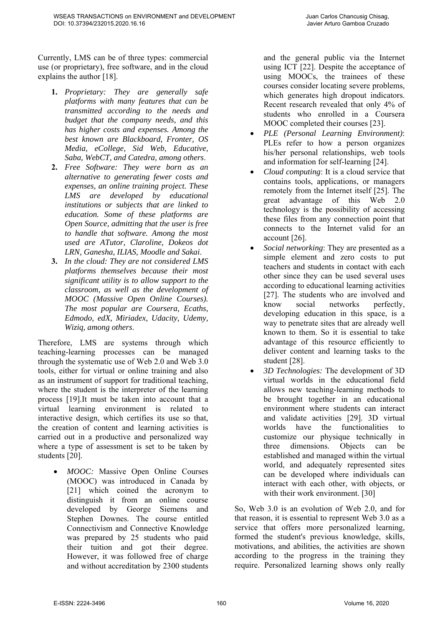Currently, LMS can be of three types: commercial use (or proprietary), free software, and in the cloud explains the author [18].

DOI: 10.37394/232015.2020.16.16

- **1.** *Proprietary: They are generally safe platforms with many features that can be transmitted according to the needs and budget that the company needs, and this has higher costs and expenses. Among the best known are Blackboard, Fronter, OS Media, eCollege, Sid Web, Educative, Saba, WebCT, and Catedra, among others*.
- **2.** *Free Software: They were born as an alternative to generating fewer costs and expenses, an online training project. These LMS are developed by educational institutions or subjects that are linked to education. Some of these platforms are Open Source, admitting that the user is free to handle that software. Among the most used are ATutor, Claroline, Dokeos dot LRN, Ganesha, ILIAS, Moodle and Sakai*.
- **3.** *In the cloud: They are not considered LMS platforms themselves because their most significant utility is to allow support to the classroom, as well as the development of MOOC (Massive Open Online Courses). The most popular are Coursera, Ecaths, Edmodo, edX, Miriadex, Udacity, Udemy, Wiziq, among others*.

Therefore, LMS are systems through which teaching-learning processes can be managed through the systematic use of Web 2.0 and Web 3.0 tools, either for virtual or online training and also as an instrument of support for traditional teaching, where the student is the interpreter of the learning process [19].It must be taken into account that a virtual learning environment is related to interactive design, which certifies its use so that, the creation of content and learning activities is carried out in a productive and personalized way where a type of assessment is set to be taken by students [20].

 *MOOC:* Massive Open Online Courses (MOOC) was introduced in Canada by [21] which coined the acronym to distinguish it from an online course developed by George Siemens and Stephen Downes. The course entitled Connectivism and Connective Knowledge was prepared by 25 students who paid their tuition and got their degree. However, it was followed free of charge and without accreditation by 2300 students and the general public via the Internet using ICT [22]. Despite the acceptance of using MOOCs, the trainees of these courses consider locating severe problems, which generates high dropout indicators. Recent research revealed that only 4% of students who enrolled in a Coursera MOOC completed their courses [23].

- *PLE (Personal Learning Environment)*: PLEs refer to how a person organizes his/her personal relationships, web tools and information for self-learning [24].
- *Cloud computing*: It is a cloud service that contains tools, applications, or managers remotely from the Internet itself [25]. The great advantage of this Web 2.0 technology is the possibility of accessing these files from any connection point that connects to the Internet valid for an account [26].
- *Social networking*: They are presented as a simple element and zero costs to put teachers and students in contact with each other since they can be used several uses according to educational learning activities [27]. The students who are involved and know social networks perfectly, developing education in this space, is a way to penetrate sites that are already well known to them. So it is essential to take advantage of this resource efficiently to deliver content and learning tasks to the student [28].
- *3D Technologies:* The development of 3D virtual worlds in the educational field allows new teaching-learning methods to be brought together in an educational environment where students can interact and validate activities [29]. 3D virtual worlds have the functionalities to customize our physique technically in three dimensions. Objects can be established and managed within the virtual world, and adequately represented sites can be developed where individuals can interact with each other, with objects, or with their work environment. [30]

So, Web 3.0 is an evolution of Web 2.0, and for that reason, it is essential to represent Web 3.0 as a service that offers more personalized learning, formed the student's previous knowledge, skills, motivations, and abilities, the activities are shown according to the progress in the training they require. Personalized learning shows only really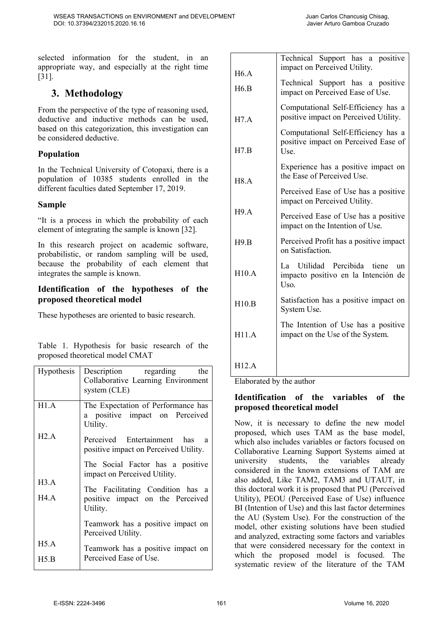selected information for the student, in an appropriate way, and especially at the right time [31].

## **3. Methodology**

From the perspective of the type of reasoning used, deductive and inductive methods can be used, based on this categorization, this investigation can be considered deductive.

#### **Population**

In the Technical University of Cotopaxi, there is a population of 10385 students enrolled in the different faculties dated September 17, 2019.

#### **Sample**

"It is a process in which the probability of each element of integrating the sample is known [32].

In this research project on academic software, probabilistic, or random sampling will be used, because the probability of each element that integrates the sample is known.

#### **Identification of the hypotheses of the proposed theoretical model**

These hypotheses are oriented to basic research.

Table 1. Hypothesis for basic research of the proposed theoretical model CMAT

| Hypothesis | Description regarding<br>the<br>Collaborative Learning Environment<br>system (CLE) |
|------------|------------------------------------------------------------------------------------|
| H1.A       | The Expectation of Performance has<br>a positive impact on Perceived<br>Utility.   |
| H2.A       | Perceived Entertainment has<br>a<br>positive impact on Perceived Utility.          |
| H3.A       | The Social Factor has a positive<br>impact on Perceived Utility.                   |
| H4.A       | The Facilitating Condition has a<br>positive impact on the Perceived<br>Utility.   |
|            | Teamwork has a positive impact on<br>Perceived Utility.                            |
| H5.A       | Teamwork has a positive impact on                                                  |
| H5.B       | Perceived Ease of Use.                                                             |

| H6.A                                                               | Technical Support has a positive<br>impact on Perceived Utility.                    |  |  |
|--------------------------------------------------------------------|-------------------------------------------------------------------------------------|--|--|
| H6.B                                                               | Technical Support has a positive<br>impact on Perceived Ease of Use.                |  |  |
| H7.A                                                               | Computational Self-Efficiency has a<br>positive impact on Perceived Utility.        |  |  |
| H7.B                                                               | Computational Self-Efficiency has a<br>positive impact on Perceived Ease of<br>Use. |  |  |
| H8.A                                                               | Experience has a positive impact on<br>the Ease of Perceived Use.                   |  |  |
|                                                                    | Perceived Ease of Use has a positive<br>impact on Perceived Utility.                |  |  |
| H9.A                                                               | Perceived Ease of Use has a positive<br>impact on the Intention of Use.             |  |  |
| Perceived Profit has a positive impact<br>H9.B<br>on Satisfaction. |                                                                                     |  |  |
| H10.A                                                              | La Utilidad Percibida tiene<br>un<br>impacto positivo en la Intención de<br>Uso.    |  |  |
| H10.B                                                              | Satisfaction has a positive impact on<br>System Use.                                |  |  |
| H11.A                                                              | The Intention of Use has a positive<br>impact on the Use of the System.             |  |  |
| H12.A                                                              |                                                                                     |  |  |

Elaborated by the author

#### **Identification of the variables of the proposed theoretical model**

Now, it is necessary to define the new model proposed, which uses TAM as the base model, which also includes variables or factors focused on Collaborative Learning Support Systems aimed at university students, the variables already considered in the known extensions of TAM are also added, Like TAM2, TAM3 and UTAUT, in this doctoral work it is proposed that PU (Perceived Utility), PEOU (Perceived Ease of Use) influence BI (Intention of Use) and this last factor determines the AU (System Use). For the construction of the model, other existing solutions have been studied and analyzed, extracting some factors and variables that were considered necessary for the context in which the proposed model is focused. The systematic review of the literature of the TAM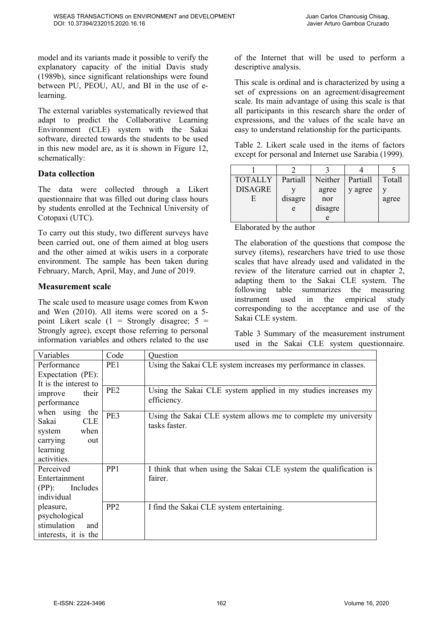model and its variants made it possible to verify the explanatory capacity of the initial Davis study (1989b), since significant relationships were found between PU, PEOU, AU, and BI in the use of elearning.

The external variables systematically reviewed that adapt to predict the Collaborative Learning Environment (CLE) system with the Sakai software, directed towards the students to be used in this new model are, as it is shown in Figure 12, schematically:

#### **Data collection**

The data were collected through a Likert questionnaire that was filled out during class hours by students enrolled at the Technical University of Cotopaxi (UTC).

To carry out this study, two different surveys have been carried out, one of them aimed at blog users and the other aimed at wikis users in a corporate environment. The sample has been taken during February, March, April, May, and June of 2019.

#### **Measurement scale**

The scale used to measure usage comes from Kwon and Wen (2010). All items were scored on a 5 point Likert scale  $(1 -$  Strongly disagree;  $5 =$ Strongly agree), except those referring to personal information variables and others related to the use

of the Internet that will be used to perform a descriptive analysis.

This scale is ordinal and is characterized by using a set of expressions on an agreement/disagreement scale. Its main advantage of using this scale is that all participants in this research share the order of expressions, and the values of the scale have an easy to understand relationship for the participants.

Table 2. Likert scale used in the items of factors except for personal and Internet use Sarabia (1999).

| <b>TOTALLY</b> | Partiall | Neither | Partiall | Totall |
|----------------|----------|---------|----------|--------|
| <b>DISAGRE</b> |          | agree   | y agree  |        |
| E              | disagre  | nor     |          | agree  |
|                | e        | disagre |          |        |
|                |          | e       |          |        |

Elaborated by the author

The elaboration of the questions that compose the survey (items), researchers have tried to use those scales that have already used and validated in the review of the literature carried out in chapter 2, adapting them to the Sakai CLE system. The following table summarizes the measuring instrument used in the empirical study corresponding to the acceptance and use of the Sakai CLE system.

Table 3 Summary of the measurement instrument used in the Sakai CLE system questionnaire.

| Variables             | Code            | Question                                                          |
|-----------------------|-----------------|-------------------------------------------------------------------|
| Performance           | PE1             | Using the Sakai CLE system increases my performance in classes.   |
| Expectation (PE):     |                 |                                                                   |
| It is the interest to |                 |                                                                   |
| their<br>improve      | PE <sub>2</sub> | Using the Sakai CLE system applied in my studies increases my     |
| performance           |                 | efficiency.                                                       |
| when using<br>the     | PE3             | Using the Sakai CLE system allows me to complete my university    |
| <b>CLE</b><br>Sakai   |                 | tasks faster.                                                     |
| when<br>system        |                 |                                                                   |
| carrying<br>out       |                 |                                                                   |
| learning              |                 |                                                                   |
| activities.           |                 |                                                                   |
| Perceived             | PP <sub>1</sub> | I think that when using the Sakai CLE system the qualification is |
| Entertainment         |                 | fairer.                                                           |
| $(PP)$ :<br>Includes  |                 |                                                                   |
| individual            |                 |                                                                   |
| pleasure,             | PP <sub>2</sub> | I find the Sakai CLE system entertaining.                         |
| psychological         |                 |                                                                   |
| stimulation<br>and    |                 |                                                                   |
| interests, it is the  |                 |                                                                   |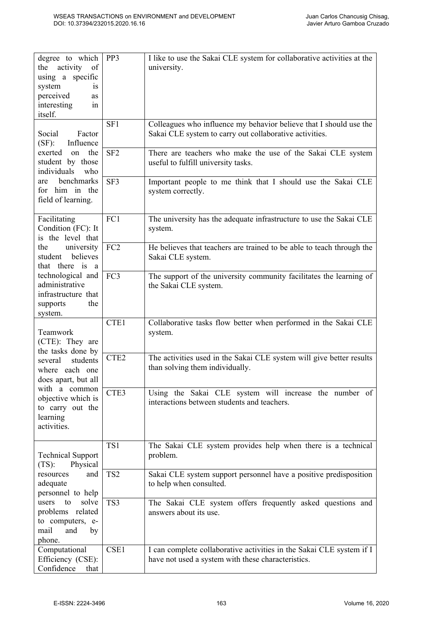| degree to which<br>the activity<br>of<br>using a specific<br>system<br>1S<br>perceived<br>as<br>interesting<br>in<br>itself. | PP3              | I like to use the Sakai CLE system for collaborative activities at the<br>university.                                         |
|------------------------------------------------------------------------------------------------------------------------------|------------------|-------------------------------------------------------------------------------------------------------------------------------|
| Factor<br>Social<br>$(SF)$ :<br>Influence                                                                                    | SF1              | Colleagues who influence my behavior believe that I should use the<br>Sakai CLE system to carry out collaborative activities. |
| exerted<br>the<br>on<br>student by those<br>individuals<br>who                                                               | SF <sub>2</sub>  | There are teachers who make the use of the Sakai CLE system<br>useful to fulfill university tasks.                            |
| benchmarks<br>are<br>for him in the<br>field of learning.                                                                    | SF3              | Important people to me think that I should use the Sakai CLE<br>system correctly.                                             |
| Facilitating<br>Condition (FC): It<br>is the level that                                                                      | FC1              | The university has the adequate infrastructure to use the Sakai CLE<br>system.                                                |
| the<br>university<br>believes<br>student<br>that there is a                                                                  | FC <sub>2</sub>  | He believes that teachers are trained to be able to teach through the<br>Sakai CLE system.                                    |
| technological and<br>administrative<br>infrastructure that<br>the<br>supports<br>system.                                     | FC3              | The support of the university community facilitates the learning of<br>the Sakai CLE system.                                  |
| Teamwork<br>(CTE): They are<br>the tasks done by                                                                             | CTE1             | Collaborative tasks flow better when performed in the Sakai CLE<br>system.                                                    |
| students<br>several<br>where each one<br>does apart, but all                                                                 | CTE <sub>2</sub> | The activities used in the Sakai CLE system will give better results<br>than solving them individually.                       |
| with a common<br>objective which is<br>to carry out the<br>learning<br>activities.                                           | CTE3             | Using the Sakai CLE system will increase the number of<br>interactions between students and teachers.                         |
| <b>Technical Support</b><br>Physical<br>$(TS)$ :                                                                             | TS1              | The Sakai CLE system provides help when there is a technical<br>problem.                                                      |
| resources<br>and<br>adequate<br>personnel to help                                                                            | TS <sub>2</sub>  | Sakai CLE system support personnel have a positive predisposition<br>to help when consulted.                                  |
| to<br>solve<br>users<br>problems related<br>to computers, e-<br>mail<br>and<br>by<br>phone.                                  | TS3              | The Sakai CLE system offers frequently asked questions and<br>answers about its use.                                          |
| Computational<br>Efficiency (CSE):<br>Confidence<br>that                                                                     | CSE1             | I can complete collaborative activities in the Sakai CLE system if I<br>have not used a system with these characteristics.    |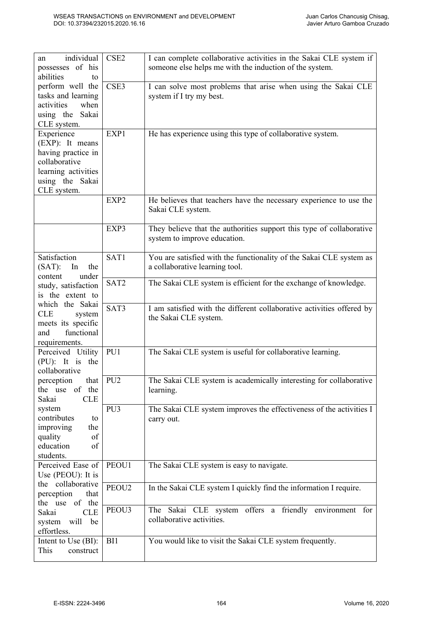| individual<br>an                       | CSE <sub>2</sub> | I can complete collaborative activities in the Sakai CLE system if    |  |
|----------------------------------------|------------------|-----------------------------------------------------------------------|--|
| possesses of his                       |                  | someone else helps me with the induction of the system.               |  |
| abilities<br>to                        |                  |                                                                       |  |
| perform well the                       | CSE3             | I can solve most problems that arise when using the Sakai CLE         |  |
| tasks and learning                     |                  | system if I try my best.                                              |  |
| when<br>activities                     |                  |                                                                       |  |
| Sakai<br>using the                     |                  |                                                                       |  |
| CLE system.                            |                  |                                                                       |  |
| Experience                             | EXP1             | He has experience using this type of collaborative system.            |  |
| (EXP): It means                        |                  |                                                                       |  |
| having practice in                     |                  |                                                                       |  |
| collaborative                          |                  |                                                                       |  |
| learning activities                    |                  |                                                                       |  |
|                                        |                  |                                                                       |  |
| using the Sakai                        |                  |                                                                       |  |
| CLE system.                            |                  |                                                                       |  |
|                                        | EXP2             | He believes that teachers have the necessary experience to use the    |  |
|                                        |                  | Sakai CLE system.                                                     |  |
|                                        | EXP3             | They believe that the authorities support this type of collaborative  |  |
|                                        |                  | system to improve education.                                          |  |
|                                        |                  |                                                                       |  |
| Satisfaction                           | SAT1             | You are satisfied with the functionality of the Sakai CLE system as   |  |
| $(SAT)$ :<br>In<br>the                 |                  | a collaborative learning tool.                                        |  |
| under<br>content                       |                  |                                                                       |  |
| study, satisfaction                    | SAT <sub>2</sub> | The Sakai CLE system is efficient for the exchange of knowledge.      |  |
| is the extent to                       |                  |                                                                       |  |
| which the Sakai                        |                  |                                                                       |  |
| <b>CLE</b><br>system                   | SAT3             | I am satisfied with the different collaborative activities offered by |  |
| meets its specific                     |                  | the Sakai CLE system.                                                 |  |
| functional<br>and                      |                  |                                                                       |  |
| requirements.                          |                  |                                                                       |  |
| Perceived Utility                      | PU1              | The Sakai CLE system is useful for collaborative learning.            |  |
| (PU): It is the                        |                  |                                                                       |  |
| collaborative                          |                  |                                                                       |  |
| that<br>perception                     | PU <sub>2</sub>  | The Sakai CLE system is academically interesting for collaborative    |  |
| of the<br>the use                      |                  | learning.                                                             |  |
| <b>CLE</b><br>Sakai                    |                  |                                                                       |  |
| system                                 | PU <sub>3</sub>  |                                                                       |  |
| contributes<br>to                      |                  | The Sakai CLE system improves the effectiveness of the activities I   |  |
| improving<br>the                       |                  | carry out.                                                            |  |
| of                                     |                  |                                                                       |  |
| quality<br>education<br>of             |                  |                                                                       |  |
| students.                              |                  |                                                                       |  |
| Perceived Ease of                      | PEOU1            |                                                                       |  |
|                                        |                  | The Sakai CLE system is easy to navigate.                             |  |
| Use (PEOU): It is<br>the collaborative |                  |                                                                       |  |
| that                                   | PEOU2            | In the Sakai CLE system I quickly find the information I require.     |  |
| perception<br>of the                   |                  |                                                                       |  |
| the use<br><b>CLE</b><br>Sakai         | PEOU3            | The Sakai CLE system offers a friendly environment for                |  |
| will                                   |                  | collaborative activities.                                             |  |
| system<br>be<br>effortless.            |                  |                                                                       |  |
| Intent to Use (BI):                    | BI1              | You would like to visit the Sakai CLE system frequently.              |  |
| This<br>construct                      |                  |                                                                       |  |
|                                        |                  |                                                                       |  |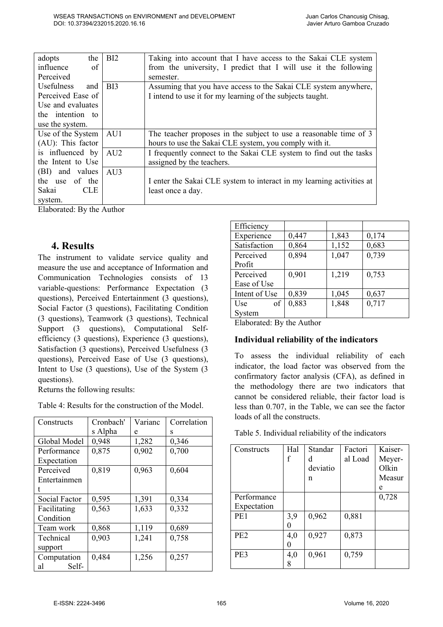| adopts<br>the            | BI2             | Taking into account that I have access to the Sakai CLE system        |
|--------------------------|-----------------|-----------------------------------------------------------------------|
| influence<br>of          |                 | from the university, I predict that I will use it the following       |
| Perceived                |                 | semester.                                                             |
| <b>Usefulness</b><br>and | B <sub>I3</sub> | Assuming that you have access to the Sakai CLE system anywhere,       |
| Perceived Ease of        |                 | I intend to use it for my learning of the subjects taught.            |
| Use and evaluates        |                 |                                                                       |
| the intention to         |                 |                                                                       |
| use the system.          |                 |                                                                       |
| Use of the System   AU1  |                 | The teacher proposes in the subject to use a reasonable time of 3     |
| $(AU)$ : This factor     |                 | hours to use the Sakai CLE system, you comply with it.                |
| is influenced by         | AU <sub>2</sub> | I frequently connect to the Sakai CLE system to find out the tasks    |
| the Intent to Use        |                 | assigned by the teachers.                                             |
| (BI) and values AU3      |                 |                                                                       |
| the use of the           |                 | I enter the Sakai CLE system to interact in my learning activities at |
| Sakai<br><b>CLE</b>      |                 | least once a day.                                                     |
| system.                  |                 |                                                                       |

Elaborated: By the Author

#### **4. Results**

The instrument to validate service quality and measure the use and acceptance of Information and Communication Technologies consists of 13 variable-questions: Performance Expectation (3 questions), Perceived Entertainment (3 questions), Social Factor (3 questions), Facilitating Condition (3 questions), Teamwork (3 questions), Technical Support (3 questions), Computational Selfefficiency (3 questions), Experience (3 questions), Satisfaction (3 questions), Perceived Usefulness (3 questions), Perceived Ease of Use (3 questions), Intent to Use (3 questions), Use of the System (3 questions).

Returns the following results:

Table 4: Results for the construction of the Model.

| Constructs    | Cronbach' | Varianc | Correlation |
|---------------|-----------|---------|-------------|
|               | s Alpha   | e       | s           |
| Global Model  | 0,948     | 1,282   | 0,346       |
| Performance   | 0,875     | 0,902   | 0,700       |
| Expectation   |           |         |             |
| Perceived     | 0,819     | 0,963   | 0,604       |
| Entertainmen  |           |         |             |
|               |           |         |             |
| Social Factor | 0,595     | 1,391   | 0,334       |
| Facilitating  | 0,563     | 1,633   | 0,332       |
| Condition     |           |         |             |
| Team work     | 0,868     | 1,119   | 0,689       |
| Technical     | 0,903     | 1,241   | 0,758       |
| support       |           |         |             |
| Computation   | 0,484     | 1,256   | 0,257       |
| Self-<br>al   |           |         |             |

| Efficiency    |       |       |       |
|---------------|-------|-------|-------|
| Experience    | 0,447 | 1,843 | 0,174 |
| Satisfaction  | 0,864 | 1,152 | 0,683 |
| Perceived     | 0,894 | 1,047 | 0,739 |
| Profit        |       |       |       |
| Perceived     | 0,901 | 1,219 | 0,753 |
| Ease of Use   |       |       |       |
| Intent of Use | 0,839 | 1,045 | 0,637 |
| of<br>Use     | 0,883 | 1,848 | 0,717 |
| System        |       |       |       |

Elaborated: By the Author

#### **Individual reliability of the indicators**

To assess the individual reliability of each indicator, the load factor was observed from the confirmatory factor analysis (CFA), as defined in the methodology there are two indicators that cannot be considered reliable, their factor load is less than 0.707, in the Table, we can see the factor loads of all the constructs.

Table 5. Individual reliability of the indicators

| Constructs      | Hal | Standar  | Factori | Kaiser- |
|-----------------|-----|----------|---------|---------|
|                 | f   | d        | al Load | Meyer-  |
|                 |     | deviatio |         | Olkin   |
|                 |     | n        |         | Measur  |
|                 |     |          |         | e       |
| Performance     |     |          |         | 0,728   |
| Expectation     |     |          |         |         |
| PE1             | 3,9 | 0,962    | 0,881   |         |
|                 |     |          |         |         |
| PE <sub>2</sub> | 4,0 | 0,927    | 0,873   |         |
|                 |     |          |         |         |
| PE3             | 4,0 | 0,961    | 0,759   |         |
|                 | 8   |          |         |         |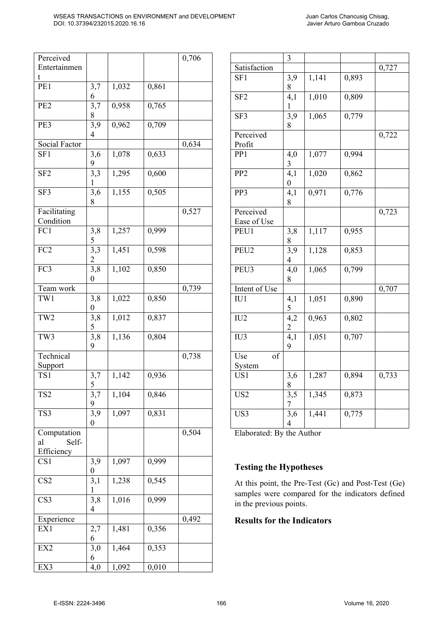| Perceived               |                  |                   |                   | 0,706 |
|-------------------------|------------------|-------------------|-------------------|-------|
| Entertainmen            |                  |                   |                   |       |
| t                       |                  |                   |                   |       |
| PE1                     | 3,7              | 1,032             | 0,861             |       |
|                         | 6                |                   |                   |       |
| PE <sub>2</sub>         | 3,7              | 0,958             | 0,765             |       |
|                         | 8                |                   |                   |       |
| PE3                     | 3,9              | 0,962             | $\frac{1}{0,709}$ |       |
|                         | 4                |                   |                   |       |
| Social Factor           |                  |                   |                   | 0,634 |
| SF <sub>1</sub>         | 3,6              | 1,078             | 0,633             |       |
|                         | 9                |                   |                   |       |
| SF <sub>2</sub>         | 3,3              | 1,295             | 0,600             |       |
|                         | 1                |                   |                   |       |
| SF3                     | 3,6              | 1,155             | 0,505             |       |
|                         | 8                |                   |                   |       |
| Facilitating            |                  |                   |                   | 0,527 |
| Condition               |                  |                   |                   |       |
| FC1                     | 3,8              | 1,257             | 0,999             |       |
|                         | 5                |                   |                   |       |
| FC <sub>2</sub>         | 3,3              | $\frac{1}{1,451}$ | 0,598             |       |
|                         | $\overline{2}$   |                   |                   |       |
| FC3                     | 3,8              | 1,102             | 0,850             |       |
|                         | 0                |                   |                   |       |
| Team work               |                  |                   |                   | 0,739 |
| TW1                     | 3,8              | 1,022             | 0,850             |       |
|                         | $\overline{0}$   |                   |                   |       |
| TW <sub>2</sub>         | 3,8              | 1,012             | 0,837             |       |
|                         | 5                |                   |                   |       |
| TW3                     | 3,8              | 1,136             | 0,804             |       |
|                         | 9                |                   |                   |       |
| Technical               |                  |                   |                   | 0,738 |
| Support                 |                  |                   |                   |       |
| TS1                     | 3,7              | 1,142             | 0,936             |       |
|                         | 5                |                   |                   |       |
| TS <sub>2</sub>         | 3,7              | 1,104             | 0,846             |       |
|                         | 9                |                   |                   |       |
| TS3                     | 3,9              | 1,097             | 0,831             |       |
|                         | $\boldsymbol{0}$ |                   |                   |       |
| Computation             |                  |                   |                   | 0,504 |
| Self-<br>al             |                  |                   |                   |       |
| Efficiency              |                  |                   |                   |       |
| CS <sub>1</sub>         | 3,9              | 1,097             | 0,999             |       |
|                         | 0                |                   |                   |       |
| $\overline{\text{CS2}}$ | 3,1              | 1,238             | 0,545             |       |
|                         | 1                |                   |                   |       |
| $\overline{\text{CS}}$  | $3,\overline{8}$ | 1,016             | 0,999             |       |
|                         | 4                |                   |                   |       |
| Experience              |                  |                   |                   | 0,492 |
| EX1                     | 2,7              | 1,481             | 0,356             |       |
|                         | 6                |                   |                   |       |
| EX2                     | 3,0              | 1,464             | 0,353             |       |
|                         | 6                |                   |                   |       |
| EX3                     | 4,0              | 1,092             | 0,010             |       |
|                         |                  |                   |                   |       |

|                         | 3                |       |       |       |
|-------------------------|------------------|-------|-------|-------|
| Satisfaction            |                  |       |       | 0,727 |
| SF <sub>1</sub>         | 3,9              | 1,141 | 0,893 |       |
|                         | 8                |       |       |       |
| SF <sub>2</sub>         | $\overline{4,1}$ | 1,010 | 0,809 |       |
|                         | $\mathbf{1}$     |       |       |       |
| $\overline{\text{S}F3}$ | 3,9              | 1,065 | 0,779 |       |
|                         |                  |       |       |       |
|                         | 8                |       |       |       |
| Perceived               |                  |       |       | 0,722 |
| Profit                  |                  |       |       |       |
| PP <sub>1</sub>         | 4,0              | 1,077 | 0,994 |       |
|                         | 3                |       |       |       |
| PP <sub>2</sub>         | $4,\overline{1}$ | 1,020 | 0,862 |       |
|                         | $\boldsymbol{0}$ |       |       |       |
| PP3                     | 4,1              | 0,971 | 0,776 |       |
|                         | 8                |       |       |       |
| Perceived               |                  |       |       | 0,723 |
| Ease of Use             |                  |       |       |       |
| PEU1                    | 3,8              | 1,117 | 0,955 |       |
|                         | 8                |       |       |       |
| PEU <sub>2</sub>        | $\frac{1}{3,9}$  | 1,128 | 0,853 |       |
|                         |                  |       |       |       |
|                         | 4                |       |       |       |
| PEU3                    | 4,0              | 1,065 | 0,799 |       |
|                         | 8                |       |       |       |
| Intent of Use           |                  |       |       | 0,707 |
| IU1                     | 4,1              | 1,051 | 0,890 |       |
|                         | 5                |       |       |       |
| IU <sub>2</sub>         | 4,2              | 0,963 | 0,802 |       |
|                         | $\overline{c}$   |       |       |       |
| $\overline{IU3}$        | $\overline{4,1}$ | 1,051 | 0,707 |       |
|                         | 9                |       |       |       |
| Use<br>of               |                  |       |       |       |
| System                  |                  |       |       |       |
| US1                     | 3,6              | 1,287 | 0,894 | 0,733 |
|                         | 8                |       |       |       |
|                         |                  |       |       |       |
| US <sub>2</sub>         | 3,5              | 1,345 | 0,873 |       |
|                         | 7                |       |       |       |
| US3                     | 3,6              | 1,441 | 0,775 |       |
|                         | $\overline{4}$   |       |       |       |

Elaborated: By the Author

#### **Testing the Hypotheses**

At this point, the Pre-Test (Gc) and Post-Test (Ge) samples were compared for the indicators defined in the previous points.

#### **Results for the Indicators**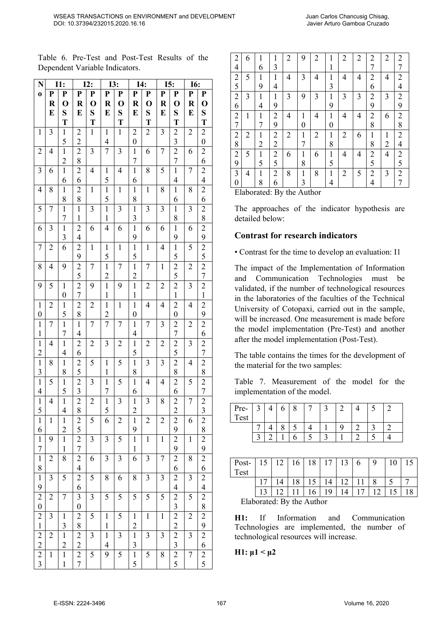Table 6. Pre-Test and Post-Test Results of the Dependent Variable Indicators.

| N                                  |                | I1:                              |                                  | I2:            | I3:                           |                | I4:                            |                | I5:            |                                           | <b>I6:</b>     |                                                         |
|------------------------------------|----------------|----------------------------------|----------------------------------|----------------|-------------------------------|----------------|--------------------------------|----------------|----------------|-------------------------------------------|----------------|---------------------------------------------------------|
| $\mathbf 0$                        | P              | P                                | P                                | P              | P                             | P              | P                              | P              | ${\bf P}$      | P                                         | P              | P                                                       |
|                                    | $\bf R$        | $\mathbf 0$                      | R                                | $\mathbf 0$    | R                             | $\mathbf 0$    | $\bf R$                        | $\mathbf 0$    | $\bf R$        | $\mathbf 0$                               | R              | $\mathbf 0$                                             |
|                                    | E              | S                                | E                                | S              | E                             | S              | E                              | S              | E              | S                                         | E              | S                                                       |
|                                    |                | T                                |                                  | T              |                               | T              |                                | T              |                | T                                         |                | T                                                       |
| $\mathbf 1$                        | 3              | $\mathbf 1$                      | $\overline{c}$                   | $\mathbf{1}$   | $\mathbf 1$                   | $\mathbf{1}$   | $\overline{2}$                 | $\overline{2}$ | 3              | $\overline{c}$                            | $\overline{c}$ | $\overline{c}$                                          |
|                                    |                | 5                                | $\overline{2}$                   |                | $\overline{4}$                |                | $\overline{0}$                 |                |                | $\overline{\mathbf{3}}$                   |                | $\boldsymbol{0}$                                        |
| $\overline{c}$                     | $\overline{4}$ | $\overline{1}$                   | $\overline{c}$                   | 3              | $\overline{7}$                | 3              | $\mathbf 1$                    | 6              | $\overline{7}$ | $\overline{\mathbf{c}}$                   | 6              |                                                         |
|                                    |                | $\overline{2}$                   | 8                                |                |                               |                | 7                              |                |                | $\overline{7}$                            |                | $\frac{2}{6}$                                           |
| 3                                  | 6              | $\overline{1}$                   | $\overline{c}$                   | $\overline{4}$ | $\mathbf{1}$                  | $\overline{4}$ | $\mathbf{1}$                   | 8              | 5              | $\overline{1}$                            | 7              | $\frac{2}{4}$                                           |
|                                    |                | 6                                | 6                                |                | 5                             |                | 6                              |                |                | $\overline{\mathcal{L}}$                  |                |                                                         |
| $\overline{4}$                     | 8              | $\mathbf{1}$                     | $\overline{c}$                   | $\mathbf{1}$   | $\mathbf{1}$                  | $\mathbf{1}$   | $\mathbf 1$                    | $\mathbf{1}$   | 8              | $\mathbf 1$                               | 8              | $\overline{2}$                                          |
|                                    |                | 8                                | 8                                |                | 5                             |                | 8                              |                |                | 6                                         |                | 6                                                       |
| 5                                  | $\overline{7}$ | $\overline{1}$                   | $\overline{1}$                   | 3              | $\overline{1}$                | 3              | $\mathbf{1}$                   | 3              | 3              | $\mathbf{1}$                              | 3              | $\frac{2}{2}$ $\frac{8}{2}$ $\frac{9}{2}$ $\frac{5}{2}$ |
|                                    |                | $\overline{7}$                   | $\mathbf{1}$                     |                | $\mathbf{1}$                  |                | 3                              |                |                | 8                                         |                |                                                         |
| 6                                  | 3              | $\overline{1}$                   | $\overline{c}$                   | 6              | $\overline{4}$                | 6              | $\mathbf{1}$                   | 6              | 6              | $\mathbf{1}$                              | 6              |                                                         |
|                                    |                | 3                                | $\overline{4}$                   |                |                               |                | 9                              |                |                | 9                                         |                |                                                         |
| 7                                  | $\overline{c}$ | 6                                | $\overline{c}$                   | $\mathbf 1$    | $\mathbf{1}$                  | $\mathbf{1}$   | $\mathbf 1$                    | $\mathbf{1}$   | $\overline{4}$ | $\mathbf 1$                               | 5              |                                                         |
|                                    |                |                                  | 9                                |                | 5                             |                | 5                              |                |                | 5                                         |                |                                                         |
| 8                                  | $\overline{4}$ | 9                                | $\overline{2}$                   | $\overline{7}$ | $\overline{1}$                | $\overline{7}$ | $\mathbf{1}$                   | $\overline{7}$ | $\mathbf{1}$   | $\overline{2}$                            | $\overline{c}$ |                                                         |
|                                    |                |                                  | 5                                |                | $\overline{c}$                |                | $\overline{c}$                 |                |                | $\overline{5}$                            |                | $\overline{7}$                                          |
| 9                                  | 5              | $\mathbf{1}$                     | $\frac{2}{7}$                    | 9              | $\mathbf{1}$                  | 9              | $\mathbf 1$                    | $\overline{c}$ | $\overline{c}$ | $\frac{2}{1}$                             | 3              | $\frac{2}{1}$                                           |
|                                    |                | $\boldsymbol{0}$                 |                                  |                | $\mathbf{1}$                  |                | $\mathbbm{1}$                  |                |                |                                           |                |                                                         |
| $\mathbf{1}$                       | $\overline{c}$ | $\overline{1}$                   | $\overline{\mathbf{c}}$          | $\overline{c}$ | $\mathbf{1}$                  | $\mathbf{1}$   | $\mathbf{1}$                   | $\overline{4}$ | 4              | $\overline{\mathbf{c}}$                   | $\overline{4}$ | $\overline{2}$                                          |
| $\overline{0}$                     |                | 5                                | 8                                |                | $\overline{c}$                |                | $\overline{0}$                 |                |                | $\boldsymbol{0}$                          |                | $\frac{9}{2}$                                           |
| $\mathbf 1$                        | 7              | $\overline{1}$                   | $\mathbf{1}$                     | $\overline{7}$ | $\overline{7}$                | $\overline{7}$ | $\mathbbm{1}$                  | 7              | 3              | $\overline{c}$                            | $\overline{c}$ |                                                         |
| $\mathbf{1}$                       |                | 7                                | $\overline{4}$                   |                |                               |                | $\overline{4}$                 |                |                | 7                                         |                | $\overline{6}$                                          |
| $\mathbf{1}$                       | $\overline{4}$ | $\overline{1}$                   | $\overline{\mathbf{c}}$          | $\overline{c}$ | 3                             | $\overline{c}$ | $\mathbbm{1}$                  | $\overline{c}$ | $\overline{c}$ | $\overline{\mathbf{c}}$                   | 3              | $\overline{\mathbf{c}}$                                 |
| $\overline{c}$                     |                | $\overline{4}$                   | 6                                |                |                               |                | 5                              |                |                | $\overline{5}$                            |                | $\frac{7}{2}$                                           |
| $\mathbf{1}$                       | 8              | $\mathbf{1}$                     | $\overline{\mathbf{c}}$          | 5              | $\mathbf{1}$                  | 5              | $\mathbf 1$                    | 3              | 3              | $\overline{2}$                            | $\overline{4}$ |                                                         |
| 3                                  |                | 8                                | 5                                |                | $\mathbf{1}$                  |                | 8                              |                |                | 8                                         |                |                                                         |
| $\mathbf 1$                        | 5              | $\mathbf{1}$                     | $\overline{\mathbf{c}}$          | 3              | $\mathbf{1}$                  | 5              | $\mathbf 1$                    | $\overline{4}$ | $\overline{4}$ | $\overline{c}$                            | 5              | $\frac{2}{7}$                                           |
| $\overline{4}$                     |                | 5                                | $\overline{3}$                   |                | 7                             |                | 6                              |                |                | 6                                         |                |                                                         |
| $\mathbf 1$                        | 4              | $\overline{1}$                   | $\frac{2}{8}$                    | $\overline{2}$ | $\overline{1}$                | 3              | $\mathbf 1$                    | 3              | 8              | $\frac{2}{2}$                             | $\overline{7}$ | $\frac{2}{3}$                                           |
| 5                                  |                | $\overline{4}$                   |                                  |                | 5                             |                | $\overline{c}$                 |                |                |                                           |                |                                                         |
| $\mathbf{1}$                       | $\mathbf{1}$   | $\mathbf{1}$                     | $\overline{c}$                   | 5              | 6                             | $\overline{2}$ | 1                              | $\overline{2}$ | $\overline{c}$ | $\overline{c}$                            | 6              | $\overline{\mathbf{c}}$                                 |
| 6                                  |                | $\overline{c}$                   | 5                                |                |                               |                | 9                              |                |                | 9                                         |                | 8                                                       |
| $\mathbf{1}$                       | 9              | $\mathbf{1}$                     | $\overline{\mathbf{c}}$          | 3              | 3                             | 5              | $\mathbf 1$                    | $\mathbf 1$    | $\mathbf 1$    | $\overline{\mathbf{c}}$                   | $\mathbf{1}$   | $\frac{2}{9}$                                           |
| $\overline{7}$                     |                | $\mathbf{1}$                     | $\overline{7}$                   |                |                               |                | $\mathbf{1}$                   |                |                | 9                                         |                |                                                         |
| $\mathbf{1}$                       | $\overline{c}$ | $\overline{8}$                   | $\overline{2}$                   | 6              | 3                             | 3              | 6                              | 3              | $\overline{7}$ | $\overline{\mathbf{c}}$                   | 8              |                                                         |
| 8                                  |                |                                  | $\overline{4}$                   |                |                               |                |                                |                |                | 6                                         |                | $\frac{2}{2}$ $\frac{6}{4}$                             |
| $\mathbf{1}$                       | $\mathfrak{Z}$ | 5                                | $\overline{\mathbf{c}}$          | 5              | 8                             | 6              | 8                              | $\mathfrak{Z}$ | 3              | $\frac{2}{4}$                             | 3              |                                                         |
| 9                                  |                | $\overline{7}$                   | 6                                |                |                               |                |                                |                |                |                                           |                |                                                         |
| $\overline{c}$<br>$\boldsymbol{0}$ | $\overline{c}$ |                                  | $\mathfrak{Z}$<br>$\overline{0}$ | 3              | 5                             | 5              | 5                              | 5              | 5              | $\frac{2}{3}$                             | 5              | $\frac{2}{8}$                                           |
|                                    |                |                                  |                                  | 5              |                               |                |                                |                |                |                                           |                |                                                         |
| $\overline{c}$<br>$\mathbf{1}$     | $\mathfrak{Z}$ | $\mathbf{1}$                     | $\overline{c}$                   |                | $\mathbf{1}$<br>$\mathbf{1}$  | 5              | $\mathbf{1}$<br>$\overline{c}$ | $\mathbf{1}$   | $\mathbf{1}$   | $\overline{\mathbf{c}}$<br>$\overline{c}$ | $\overline{c}$ |                                                         |
|                                    |                | $\frac{3}{2}$<br>$\overline{1}$  | 8                                | 3              |                               |                |                                |                |                |                                           |                |                                                         |
| $\frac{2}{2}$                      | $\overline{c}$ |                                  | $\frac{2}{2}$                    |                | $\mathbf{1}$                  | 3              | $\mathbf 1$                    | 3              | 3              | $\frac{2}{3}$                             | 3              |                                                         |
|                                    |                | $\overline{2}$<br>$\overline{1}$ |                                  | 5              | $\overline{\mathcal{A}}$<br>9 |                | 3                              | 5              |                |                                           |                | $\frac{29}{2}$ $\frac{6}{2}$ $\frac{6}{5}$              |
| $\overline{2}$<br>$\overline{3}$   | $\mathbf 1$    | $\mathbf{1}$                     | $\overline{2}$<br>$\overline{7}$ |                |                               | 5              | $\mathbf 1$                    |                | 8              | $\overline{2}$                            | $\overline{7}$ |                                                         |
|                                    |                |                                  |                                  |                |                               |                | 5                              |                |                | 5                                         |                |                                                         |

| $\overline{2}$ | 6 |   |                | $\overline{2}$ | 9 | $\overline{2}$ | 1            | $\overline{2}$ | $\overline{2}$ | 2              | $\overline{2}$ | $\overline{c}$ |
|----------------|---|---|----------------|----------------|---|----------------|--------------|----------------|----------------|----------------|----------------|----------------|
| 4              |   | 6 | 3              |                |   |                | 1            |                |                | 7              |                | 7              |
| $\overline{2}$ | 5 | 1 | 1              | 4              | 3 | 4              | 1            | 4              | 4              | 2              | 4              | $\overline{2}$ |
| 5              |   | 9 | 4              |                |   |                | 3            |                |                | 6              |                | 4              |
| $\overline{2}$ | 3 | 1 | 1              | 3              | 9 | 3              | 1            | 3              | 3              | $\overline{2}$ | 3              | $\overline{2}$ |
| 6              |   | 4 | 9              |                |   |                | 9            |                |                | 9              |                | 9              |
| 2              | 1 | 1 | $\overline{2}$ | 4              | 1 | 4              | 1            | 4              | 4              | 2              | 6              | 2              |
| 7              |   | 7 | 9              |                | 0 |                | 0            |                |                | 8              |                | 8              |
| 2              | 2 | 1 | 2              | 2              | 1 | 2              | 1            | 2              | 6              | 1              | 1              | $\overline{2}$ |
| 8              |   | 2 | 2              |                |   |                | 8            |                |                | 8              | 2              | 4              |
| $\overline{2}$ | 5 | 1 | 2              | 6              | 1 | 6              | $\mathbf{1}$ | 4              | 4              | $\overline{2}$ | 4              | $\overline{c}$ |
| 9              |   | 5 | 5              |                | 8 |                | 5            |                |                | 5              |                | 5              |
| 3              | 4 | 1 | 2              | 8              | 1 | 8              | 1            | 2              | 5              | 2              | 3              | 2              |
| 0              |   | 8 | 6              |                | 3 |                | 4            |                |                | 4              |                | 7              |

Elaborated: By the Author

The approaches of the indicator hypothesis are detailed below:

#### **Contrast for research indicators**

• Contrast for the time to develop an evaluation: I1

The impact of the Implementation of Information and Communication Technologies must be validated, if the number of technological resources in the laboratories of the faculties of the Technical University of Cotopaxi, carried out in the sample, will be increased. One measurement is made before the model implementation (Pre-Test) and another after the model implementation (Post-Test).

The table contains the times for the development of the material for the two samples:

Table 7. Measurement of the model for the implementation of the model.

| Pre-<br>Test | $\mathcal{I}$ |  |  |   |  |  |
|--------------|---------------|--|--|---|--|--|
|              |               |  |  | Q |  |  |
|              |               |  |  |   |  |  |

| Post-<br>Test |                                 | 12 | 16  | 18 |                | 13 |  | $\mathbf Q$ |  |  |
|---------------|---------------------------------|----|-----|----|----------------|----|--|-------------|--|--|
|               |                                 |    | 1 O |    | $\overline{4}$ |    |  |             |  |  |
|               |                                 |    |     |    | 19             |    |  |             |  |  |
|               | $F$ lahorated: $R_V$ the Author |    |     |    |                |    |  |             |  |  |

Elaborated: By the Author

**H1:** If Information and Communication Technologies are implemented, the number of technological resources will increase.

#### **H1:**  $μ1 < μ2$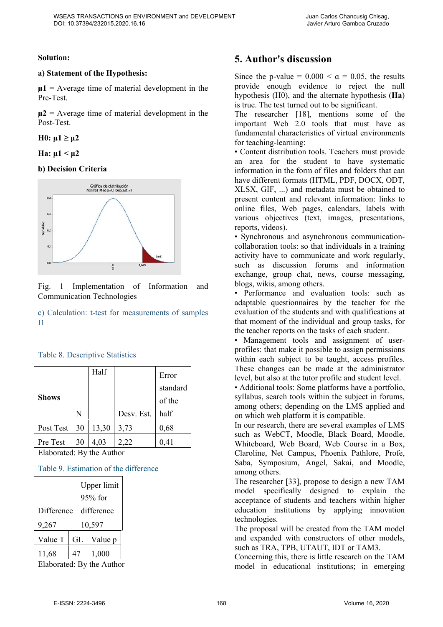#### **Solution:**

#### **a) Statement of the Hypothesis:**

 $\mu$ **1** = Average time of material development in the Pre-Test.

 $\mu$ **2** = Average time of material development in the Post-Test.

 $H0: μ1 ≥ μ2$ 

**Ha:**  $μ1 < μ2$ 

#### **b) Decision Criteria**



Fig. 1 Implementation of Information and Communication Technologies

c) Calculation: t-test for measurements of samples I1

| <b>Table 8. Descriptive Statistics</b> |  |
|----------------------------------------|--|
|----------------------------------------|--|

|              |    | Half  |            | Error    |
|--------------|----|-------|------------|----------|
|              |    |       |            | standard |
| <b>Shows</b> |    |       |            | of the   |
|              | N  |       | Desv. Est. | half     |
| Post Test    | 30 | 13,30 | 3,73       | 0,68     |
| Pre Test     | 30 | 4,03  | 2,22       | 0,41     |

Elaborated: By the Author

#### Table 9. Estimation of the difference

|            |  | Upper limit<br>95% for |         |  |  |  |
|------------|--|------------------------|---------|--|--|--|
| Difference |  | difference             |         |  |  |  |
| 9,267      |  | 10,597                 |         |  |  |  |
| Value T    |  | GL                     | Value p |  |  |  |
| 11,68      |  |                        | 1,000   |  |  |  |

Elaborated: By the Author

### **5. Author's discussion**

Since the p-value =  $0.000 < \alpha = 0.05$ , the results provide enough evidence to reject the null hypothesis (H0), and the alternate hypothesis (**Ha**) is true. The test turned out to be significant.

The researcher [18], mentions some of the important Web 2.0 tools that must have as fundamental characteristics of virtual environments for teaching-learning:

• Content distribution tools. Teachers must provide an area for the student to have systematic information in the form of files and folders that can have different formats (HTML, PDF, DOCX, ODT, XLSX, GIF, ...) and metadata must be obtained to present content and relevant information: links to online files, Web pages, calendars, labels with various objectives (text, images, presentations, reports, videos).

• Synchronous and asynchronous communicationcollaboration tools: so that individuals in a training activity have to communicate and work regularly, such as discussion forums and information exchange, group chat, news, course messaging, blogs, wikis, among others.

• Performance and evaluation tools: such as adaptable questionnaires by the teacher for the evaluation of the students and with qualifications at that moment of the individual and group tasks, for the teacher reports on the tasks of each student.

• Management tools and assignment of userprofiles: that make it possible to assign permissions within each subject to be taught, access profiles. These changes can be made at the administrator level, but also at the tutor profile and student level.

• Additional tools: Some platforms have a portfolio, syllabus, search tools within the subject in forums, among others; depending on the LMS applied and on which web platform it is compatible.

In our research, there are several examples of LMS such as WebCT, Moodle, Black Board, Moodle, Whiteboard, Web Board, Web Course in a Box, Claroline, Net Campus, Phoenix Pathlore, Profe, Saba, Symposium, Angel, Sakai, and Moodle, among others.

The researcher [33], propose to design a new TAM model specifically designed to explain the acceptance of students and teachers within higher education institutions by applying innovation technologies.

The proposal will be created from the TAM model and expanded with constructors of other models, such as TRA, TPB, UTAUT, IDT or TAM3.

Concerning this, there is little research on the TAM model in educational institutions; in emerging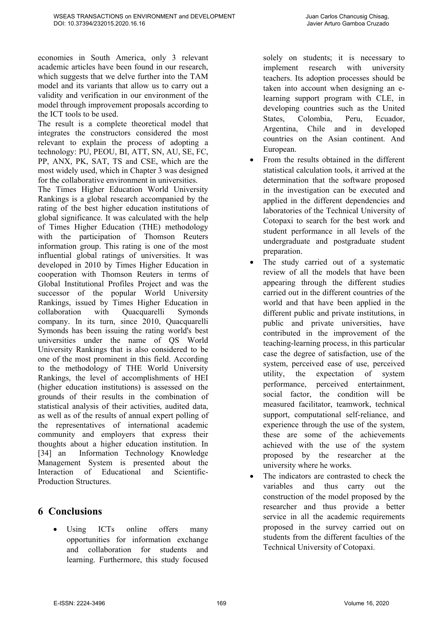economies in South America, only 3 relevant academic articles have been found in our research, which suggests that we delve further into the TAM model and its variants that allow us to carry out a validity and verification in our environment of the model through improvement proposals according to the ICT tools to be used.

The result is a complete theoretical model that integrates the constructors considered the most relevant to explain the process of adopting a technology: PU, PEOU, BI, ATT, SN, AU, SE, FC, PP, ANX, PK, SAT, TS and CSE, which are the most widely used, which in Chapter 3 was designed for the collaborative environment in universities.

The Times Higher Education World University Rankings is a global research accompanied by the rating of the best higher education institutions of global significance. It was calculated with the help of Times Higher Education (THE) methodology with the participation of Thomson Reuters information group. This rating is one of the most influential global ratings of universities. It was developed in 2010 by Times Higher Education in cooperation with Thomson Reuters in terms of Global Institutional Profiles Project and was the successor of the popular World University Rankings, issued by Times Higher Education in collaboration with Quacquarelli Symonds company. In its turn, since 2010, Quacquarelli Symonds has been issuing the rating world's best universities under the name of QS World University Rankings that is also considered to be one of the most prominent in this field. According to the methodology of THE World University Rankings, the level of accomplishments of HEI (higher education institutions) is assessed on the grounds of their results in the combination of statistical analysis of their activities, audited data, as well as of the results of annual expert polling of the representatives of international academic community and employers that express their thoughts about a higher education institution. In [34] an Information Technology Knowledge Management System is presented about the Interaction of Educational and Scientific-Production Structures.

## **6 Conclusions**

Using ICTs online offers many opportunities for information exchange and collaboration for students and learning. Furthermore, this study focused solely on students; it is necessary to implement research with university teachers. Its adoption processes should be taken into account when designing an elearning support program with CLE, in developing countries such as the United States, Colombia, Peru, Ecuador, Argentina, Chile and in developed countries on the Asian continent. And European.

- From the results obtained in the different statistical calculation tools, it arrived at the determination that the software proposed in the investigation can be executed and applied in the different dependencies and laboratories of the Technical University of Cotopaxi to search for the best work and student performance in all levels of the undergraduate and postgraduate student preparation.
- The study carried out of a systematic review of all the models that have been appearing through the different studies carried out in the different countries of the world and that have been applied in the different public and private institutions, in public and private universities, have contributed in the improvement of the teaching-learning process, in this particular case the degree of satisfaction, use of the system, perceived ease of use, perceived utility, the expectation of system performance, perceived entertainment, social factor, the condition will be measured facilitator, teamwork, technical support, computational self-reliance, and experience through the use of the system, these are some of the achievements achieved with the use of the system proposed by the researcher at the university where he works.
- The indicators are contrasted to check the variables and thus carry out the construction of the model proposed by the researcher and thus provide a better service in all the academic requirements proposed in the survey carried out on students from the different faculties of the Technical University of Cotopaxi.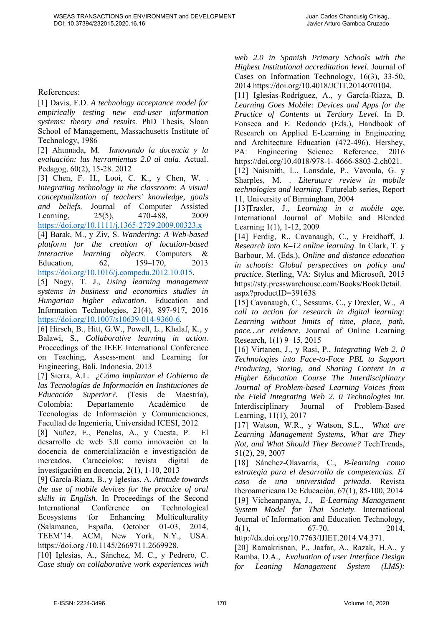#### References:

[1] Davis, F.D. *A technology acceptance model for empirically testing new end-user information systems: theory and results*. PhD Thesis, Sloan School of Management, Massachusetts Institute of Technology, 1986

[2] Ahumada, M. *Innovando la docencia y la evaluación: las herramientas 2.0 al aula*. Actual. Pedagog, 60(2), 15-28. 2012

[3] Chen, F. H., Looi, C. K., y Chen, W... *Integrating technology in the classroom: A visual conceptualization of teachers' knowledge, goals and beliefs*. Journal of Computer Assisted Learning, 25(5), 470-488, 2009 https://doi.org/10.1111/j.1365-2729.2009.00323.x

[4] Barak, M., y Ziv, S. *Wandering: A Web-based platform for the creation of location-based interactive learning objects*. Computers & Education, 62, 159–170, 2013 https://doi.org/10.1016/j.compedu.2012.10.015.

[5] Nagy, T. J., *Using learning management systems in business and economics studies in Hungarian higher education*. Education and Information Technologies, 21(4), 897-917, 2016 https://doi.org/10.1007/s10639-014-9360-6.

[6] Hirsch, B., Hitt, G.W., Powell, L., Khalaf, K., y Balawi, S., *Collaborative learning in action*. Proceedings of the IEEE International Conference on Teaching, Assess-ment and Learning for Engineering, Bali, Indonesia. 2013

[7] Sierra, Á.L. *¿Cómo implantar el Gobierno de las Tecnologías de Información en Instituciones de Educación Superior?*. (Tesis de Maestría), Colombia: Departamento Académico de Tecnologías de Información y Comunicaciones, Facultad de Ingeniería, Universidad ICESI, 2012

[8] Nuñez, E., Penelas, A., y Cuesta, P. El desarrollo de web 3.0 como innovación en la docencia de comercialización e investigación de mercados. Caracciolos: revista digital de investigación en docencia, 2(1), 1-10, 2013

[9] García-Riaza, B., y Iglesias, A. *Attitude towards the use of mobile devices for the practice of oral skills in English.* In Proceedings of the Second International Conference on Technological Ecosystems for Enhancing Multiculturality (Salamanca, España, October 01-03, 2014, TEEM'14. ACM, New York, N.Y., USA. https://doi.org /10.1145/2669711.2669928.

[10] Iglesias, A., Sánchez, M. C., y Pedrero, C. *Case study on collaborative work experiences with*  *web 2.0 in Spanish Primary Schools with the Highest Institutional accreditation level*. Journal of Cases on Information Technology, 16(3), 33-50, 2014 https://doi.org/10.4018/JCIT.2014070104.

[11] Iglesias-Rodríguez, A., y García-Riaza, B. *Learning Goes Mobile: Devices and Apps for the Practice of Contents at Tertiary Level*. In D. Fonseca and E. Redondo (Eds.), Handbook of Research on Applied E-Learning in Engineering and Architecture Education (472-496). Hershey, PA: Engineering Science Reference. 2016 https://doi.org/10.4018/978-1- 4666-8803-2.ch021.

[12] Naismith, L., Lonsdale, P., Vavoula, G. y Sharples, M. . *Literature review in mobile technologies and learning*. Futurelab series, Report 11, University of Birmingham, 2004

[13]Traxler, J., *Learning in a mobile age*. International Journal of Mobile and Blended Learning 1(1), 1-12, 2009

[14] Ferdig, R., Cavanaugh, C., y Freidhoff, J. *Research into K–12 online learning*. In Clark, T. y Barbour, M. (Eds.), *Online and distance education in schools: Global perspectives on policy and practice*. Sterling, VA: Stylus and Microsoft, 2015 https://sty.presswarehouse.com/Books/BookDetail. aspx?productID=391638

[15] Cavanaugh, C., Sessums, C., y Drexler, W., *A call to action for research in digital learning: Learning without limits of time, place, path, pace…or evidence*. Journal of Online Learning Research, 1(1) 9–15, 2015

[16] Virtanen, J., y Rasi, P., *Integrating Web 2. 0 Technologies into Face-to-Face PBL to Support Producing, Storing, and Sharing Content in a Higher Education Course The Interdisciplinary Journal of Problem-based Learning Voices from the Field Integrating Web 2. 0 Technologies int*. Interdisciplinary Journal of Problem-Based Learning, 11(1), 2017

[17] Watson, W.R., y Watson, S.L., *What are Learning Management Systems, What are They Not, and What Should They Become?* TechTrends, 51(2), 29, 2007

[18] Sánchez-Olavarría, C., *B-learning como estrategia para el desarrollo de competencias. El caso de una universidad privada*. Revista Iberoamericana De Educación, 67(1), 85-100, 2014 [19] Vicheanpanya, J., *E-Learning Management System Model for Thai Society*. International Journal of Information and Education Technology, 4(1), 67-70. 2014, http://dx.doi.org/10.7763/IJIET.2014.V4.371.

[20] Ramakrisnan, P., Jaafar, A., Razak, H.A., y Ramba, D.A., *Evaluation of user Interface Design for Leaning Management System (LMS):*